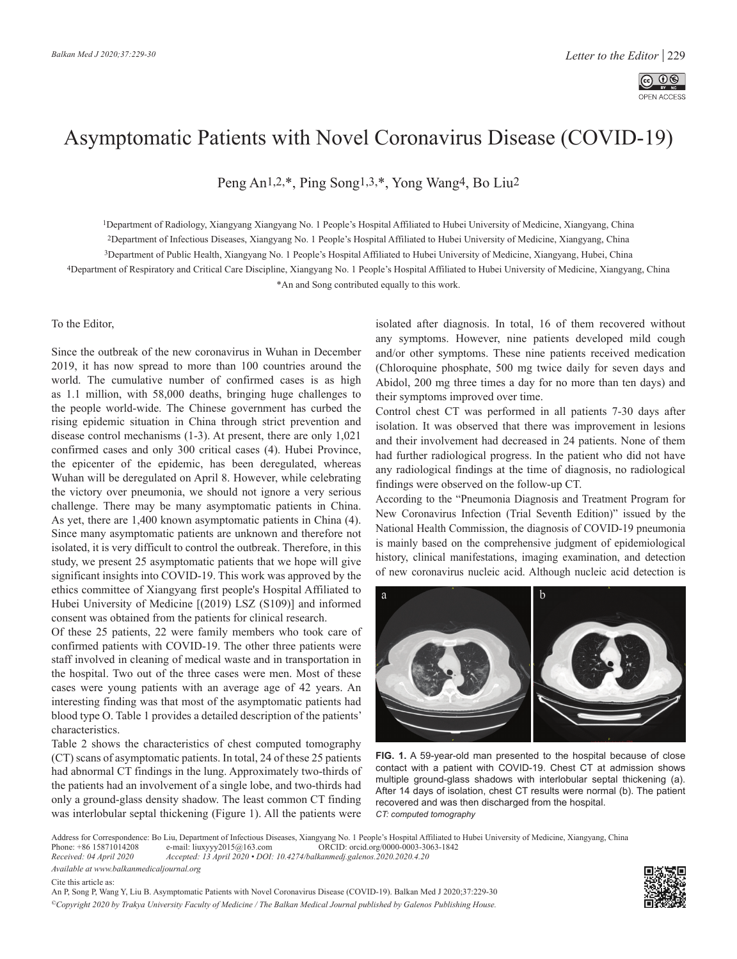

## Asymptomatic Patients with Novel Coronavirus Disease (COVID-19)

Peng An[1,2,\\*,](https://orcid.org/0000-0002-0048-2738) Ping Son[g1,3,\\*,](https://orcid.org/0000-0002-0390-5628) Yong Wang[4,](https://orcid.org/0000-0002-0348-4077) Bo Liu[2](https://orcid.org/0000-0003-3063-1842)

1Department of Radiology, Xiangyang Xiangyang No. 1 People's Hospital Affiliated to Hubei University of Medicine, Xiangyang, China 2Department of Infectious Diseases, Xiangyang No. 1 People's Hospital Affiliated to Hubei University of Medicine, Xiangyang, China

3Department of Public Health, Xiangyang No. 1 People's Hospital Affiliated to Hubei University of Medicine, Xiangyang, Hubei, China

4Department of Respiratory and Critical Care Discipline, Xiangyang No. 1 People's Hospital Affiliated to Hubei University of Medicine, Xiangyang, China

\*An and Song contributed equally to this work.

## To the Editor,

Since the outbreak of the new coronavirus in Wuhan in December 2019, it has now spread to more than 100 countries around the world. The cumulative number of confirmed cases is as high as 1.1 million, with 58,000 deaths, bringing huge challenges to the people world-wide. The Chinese government has curbed the rising epidemic situation in China through strict prevention and disease control mechanisms (1-3). At present, there are only 1,021 confirmed cases and only 300 critical cases (4). Hubei Province, the epicenter of the epidemic, has been deregulated, whereas Wuhan will be deregulated on April 8. However, while celebrating the victory over pneumonia, we should not ignore a very serious challenge. There may be many asymptomatic patients in China. As yet, there are 1,400 known asymptomatic patients in China (4). Since many asymptomatic patients are unknown and therefore not isolated, it is very difficult to control the outbreak. Therefore, in this study, we present 25 asymptomatic patients that we hope will give significant insights into COVID-19. This work was approved by the ethics committee of Xiangyang first people's Hospital Affiliated to Hubei University of Medicine [(2019) LSZ (S109)] and informed consent was obtained from the patients for clinical research.

Of these 25 patients, 22 were family members who took care of confirmed patients with COVID-19. The other three patients were staff involved in cleaning of medical waste and in transportation in the hospital. Two out of the three cases were men. Most of these cases were young patients with an average age of 42 years. An interesting finding was that most of the asymptomatic patients had blood type O. Table 1 provides a detailed description of the patients' characteristics.

Table 2 shows the characteristics of chest computed tomography (CT) scans of asymptomatic patients. In total, 24 of these 25 patients had abnormal CT findings in the lung. Approximately two-thirds of the patients had an involvement of a single lobe, and two-thirds had only a ground-glass density shadow. The least common CT finding was interlobular septal thickening (Figure 1). All the patients were isolated after diagnosis. In total, 16 of them recovered without any symptoms. However, nine patients developed mild cough and/or other symptoms. These nine patients received medication (Chloroquine phosphate, 500 mg twice daily for seven days and Abidol, 200 mg three times a day for no more than ten days) and their symptoms improved over time.

Control chest CT was performed in all patients 7-30 days after isolation. It was observed that there was improvement in lesions and their involvement had decreased in 24 patients. None of them had further radiological progress. In the patient who did not have any radiological findings at the time of diagnosis, no radiological findings were observed on the follow-up CT.

According to the "Pneumonia Diagnosis and Treatment Program for New Coronavirus Infection (Trial Seventh Edition)" issued by the National Health Commission, the diagnosis of COVID-19 pneumonia is mainly based on the comprehensive judgment of epidemiological history, clinical manifestations, imaging examination, and detection of new coronavirus nucleic acid. Although nucleic acid detection is



**FIG. 1.** A 59-year-old man presented to the hospital because of close contact with a patient with COVID-19. Chest CT at admission shows multiple ground-glass shadows with interlobular septal thickening (a). After 14 days of isolation, chest CT results were normal (b). The patient recovered and was then discharged from the hospital. *CT: computed tomography* 

Address for Correspondence: Bo Liu, Department of Infectious Diseases, Xiangyang No. 1 People's Hospital Affiliated to Hubei University of Medicine, Xiangyang, China<br>Phone: +86 15871014208 e-mail: liuxyyy2015@163.com ORCID Phone: +86 15871014208 e-mail: liuxyyy2015@163.com ORCID: orcid.org/0000-0003-3063-1842<br>Received: 04 April 2020 Accepted: 13 April 2020 • DOI: 10.4274/balkanmedj.galenos.2020.2020.4.20

*Received: 04 April 2020 Accepted: 13 April 2020 • DOI: 10.4274/balkanmedj.galenos.2020.2020.4.20*

*Available at www.balkanmedicaljournal.org*

Cite this article as:

An P, Song P, Wang Y, Liu B. Asymptomatic Patients with Novel Coronavirus Disease (COVID-19). Balkan Med J 2020;37:229-30 *©Copyright 2020 by Trakya University Faculty of Medicine / The Balkan Medical Journal published by Galenos Publishing House.*